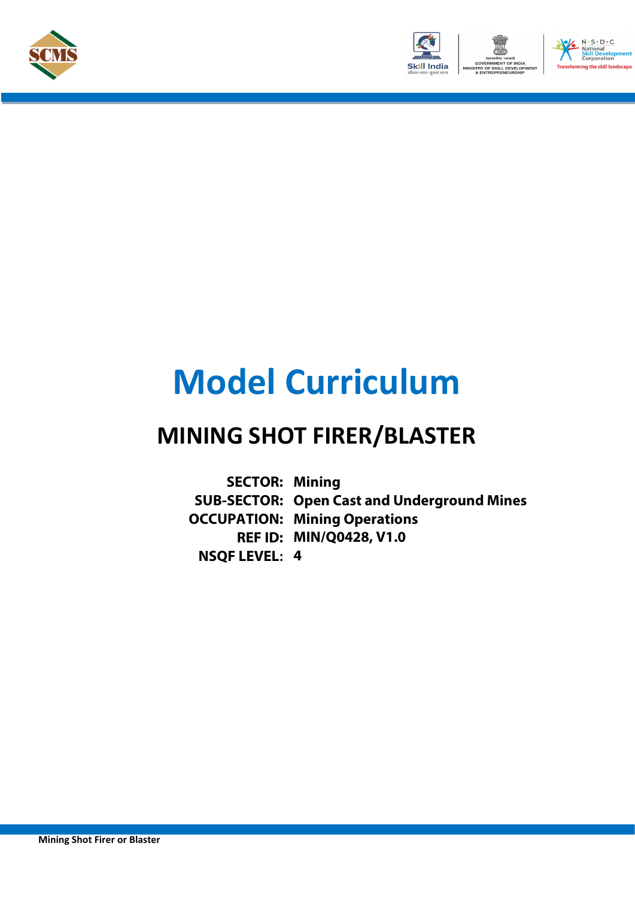



# **Model Curriculum**

# **MINING SHOT FIRER/BLASTER**

**SECTOR: Mining SUB-SECTOR: Open Cast and Underground Mines OCCUPATION: Mining Operations REF ID: MIN/Q0428, V1.0 NSQF LEVEL: 4**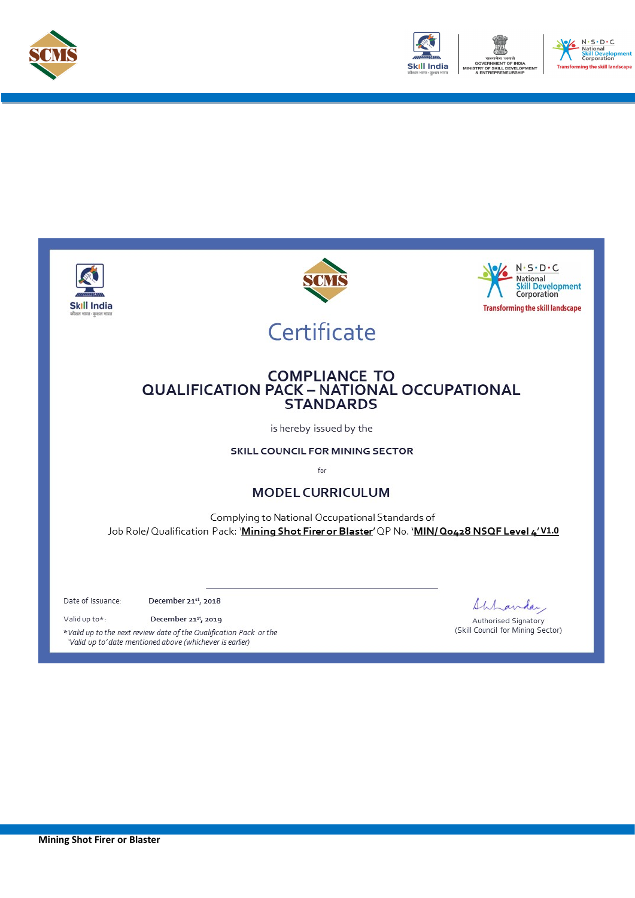



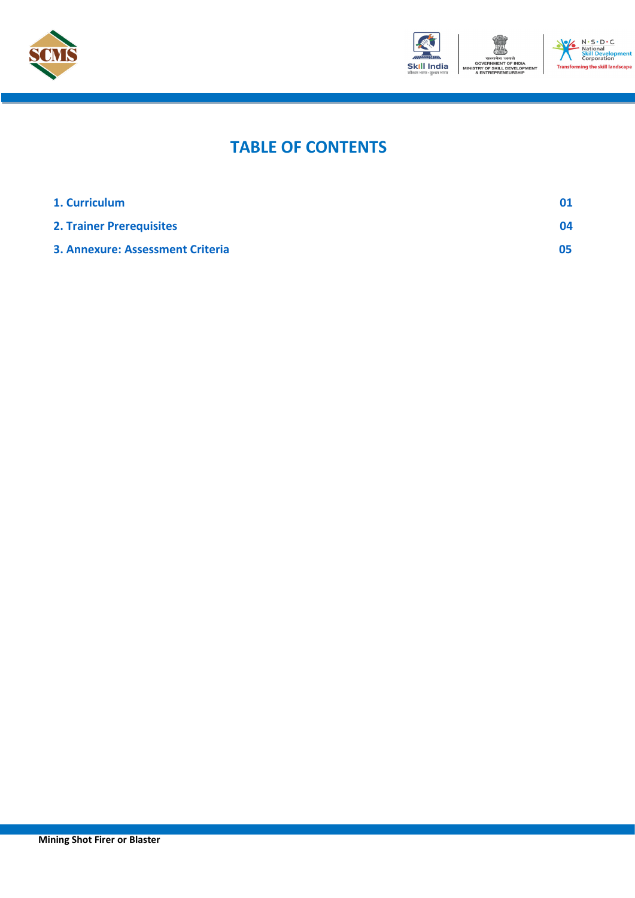



#### N - S - D - C<br>National<br>Skill Develop<br>Corporation m ng the skill landscape

# **TABLE OF CONTENTS**

| 1. Curriculum                    |    |
|----------------------------------|----|
| <b>2. Trainer Prerequisites</b>  | 04 |
| 3. Annexure: Assessment Criteria | 05 |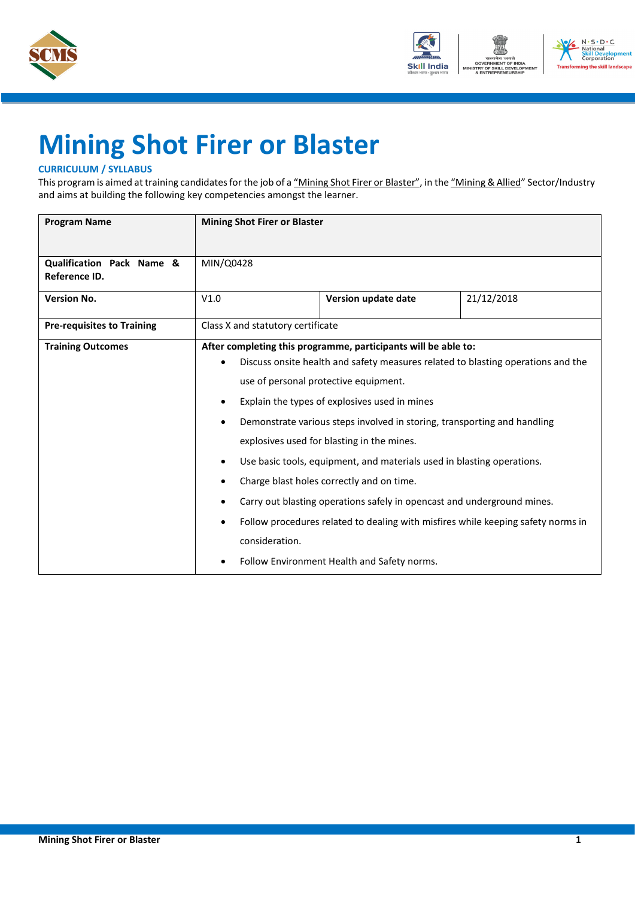



# <span id="page-3-0"></span>**Mining Shot Firer or Blaster**

### **CURRICULUM / SYLLABUS**

This program is aimed at training candidates for the job of a "Mining Shot Firer or Blaster", in the "Mining & Allied" Sector/Industry and aims at building the following key competencies amongst the learner.

| <b>Program Name</b>                        | <b>Mining Shot Firer or Blaster</b>                        |                                                                                                                                                                                                                                                                                                                                                                                                                                                                                                                                     |                                                                                                                                                                      |  |
|--------------------------------------------|------------------------------------------------------------|-------------------------------------------------------------------------------------------------------------------------------------------------------------------------------------------------------------------------------------------------------------------------------------------------------------------------------------------------------------------------------------------------------------------------------------------------------------------------------------------------------------------------------------|----------------------------------------------------------------------------------------------------------------------------------------------------------------------|--|
| Qualification Pack Name &<br>Reference ID. | MIN/Q0428                                                  |                                                                                                                                                                                                                                                                                                                                                                                                                                                                                                                                     |                                                                                                                                                                      |  |
| <b>Version No.</b>                         | V1.0                                                       | Version update date                                                                                                                                                                                                                                                                                                                                                                                                                                                                                                                 | 21/12/2018                                                                                                                                                           |  |
| <b>Pre-requisites to Training</b>          | Class X and statutory certificate                          |                                                                                                                                                                                                                                                                                                                                                                                                                                                                                                                                     |                                                                                                                                                                      |  |
| <b>Training Outcomes</b>                   | $\bullet$<br>$\bullet$<br>٠<br>$\bullet$<br>consideration. | After completing this programme, participants will be able to:<br>use of personal protective equipment.<br>Explain the types of explosives used in mines<br>Demonstrate various steps involved in storing, transporting and handling<br>explosives used for blasting in the mines.<br>Use basic tools, equipment, and materials used in blasting operations.<br>Charge blast holes correctly and on time.<br>Carry out blasting operations safely in opencast and underground mines.<br>Follow Environment Health and Safety norms. | Discuss onsite health and safety measures related to blasting operations and the<br>Follow procedures related to dealing with misfires while keeping safety norms in |  |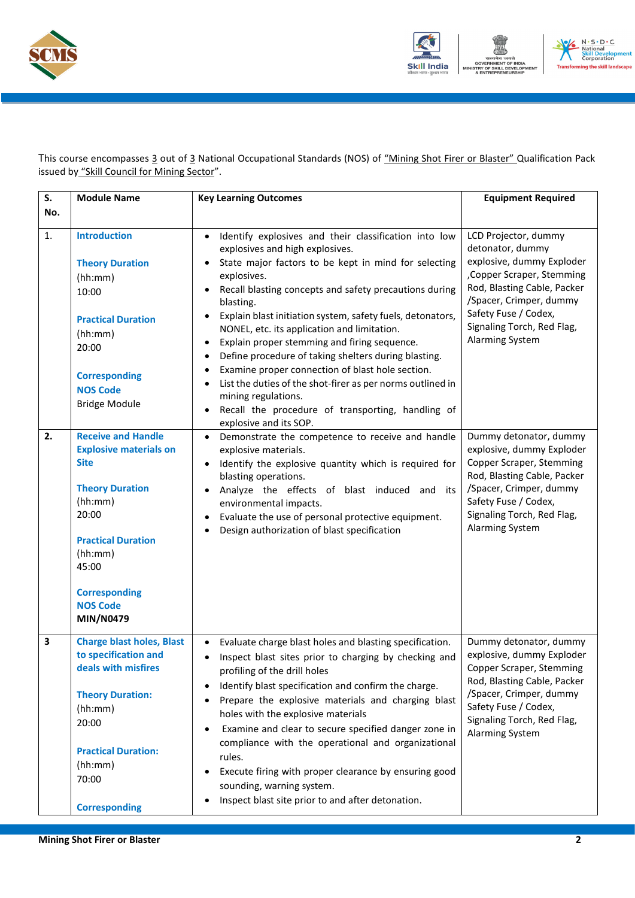



This course encompasses 3 out of 3 National Occupational Standards (NOS) of "Mining Shot Firer or Blaster" Qualification Pack issued by "Skill Council for Mining Sector".

| S.  | <b>Module Name</b>                                                                                                                                                                                                               | <b>Key Learning Outcomes</b>                                                                                                                                                                                                                                                                                                                                                                                                                                                                                                                                                                                                                                                                                                                                                                     | <b>Equipment Required</b>                                                                                                                                                                                                              |
|-----|----------------------------------------------------------------------------------------------------------------------------------------------------------------------------------------------------------------------------------|--------------------------------------------------------------------------------------------------------------------------------------------------------------------------------------------------------------------------------------------------------------------------------------------------------------------------------------------------------------------------------------------------------------------------------------------------------------------------------------------------------------------------------------------------------------------------------------------------------------------------------------------------------------------------------------------------------------------------------------------------------------------------------------------------|----------------------------------------------------------------------------------------------------------------------------------------------------------------------------------------------------------------------------------------|
| No. |                                                                                                                                                                                                                                  |                                                                                                                                                                                                                                                                                                                                                                                                                                                                                                                                                                                                                                                                                                                                                                                                  |                                                                                                                                                                                                                                        |
| 1.  | <b>Introduction</b><br><b>Theory Duration</b><br>(hh:mm)<br>10:00<br><b>Practical Duration</b><br>(hh:mm)<br>20:00<br><b>Corresponding</b><br><b>NOS Code</b><br><b>Bridge Module</b>                                            | Identify explosives and their classification into low<br>$\bullet$<br>explosives and high explosives.<br>State major factors to be kept in mind for selecting<br>$\bullet$<br>explosives.<br>Recall blasting concepts and safety precautions during<br>٠<br>blasting.<br>Explain blast initiation system, safety fuels, detonators,<br>$\bullet$<br>NONEL, etc. its application and limitation.<br>Explain proper stemming and firing sequence.<br>$\bullet$<br>Define procedure of taking shelters during blasting.<br>$\bullet$<br>Examine proper connection of blast hole section.<br>$\bullet$<br>List the duties of the shot-firer as per norms outlined in<br>$\bullet$<br>mining regulations.<br>Recall the procedure of transporting, handling of<br>$\bullet$<br>explosive and its SOP. | LCD Projector, dummy<br>detonator, dummy<br>explosive, dummy Exploder<br>, Copper Scraper, Stemming<br>Rod, Blasting Cable, Packer<br>/Spacer, Crimper, dummy<br>Safety Fuse / Codex,<br>Signaling Torch, Red Flag,<br>Alarming System |
| 2.  | <b>Receive and Handle</b><br><b>Explosive materials on</b><br><b>Site</b><br><b>Theory Duration</b><br>(hh:mm)<br>20:00<br><b>Practical Duration</b><br>(hh:mm)<br>45:00<br><b>Corresponding</b><br><b>NOS Code</b><br>MIN/N0479 | Demonstrate the competence to receive and handle<br>$\bullet$<br>explosive materials.<br>Identify the explosive quantity which is required for<br>$\bullet$<br>blasting operations.<br>Analyze the effects of blast induced and its<br>$\bullet$<br>environmental impacts.<br>Evaluate the use of personal protective equipment.<br>$\bullet$<br>Design authorization of blast specification                                                                                                                                                                                                                                                                                                                                                                                                     | Dummy detonator, dummy<br>explosive, dummy Exploder<br>Copper Scraper, Stemming<br>Rod, Blasting Cable, Packer<br>/Spacer, Crimper, dummy<br>Safety Fuse / Codex,<br>Signaling Torch, Red Flag,<br>Alarming System                     |
| 3   | <b>Charge blast holes, Blast</b><br>to specification and<br>deals with misfires<br><b>Theory Duration:</b><br>(hh:mm)<br>20:00<br><b>Practical Duration:</b><br>(hh:mm)<br>70:00<br><b>Corresponding</b>                         | Evaluate charge blast holes and blasting specification.<br>$\bullet$<br>Inspect blast sites prior to charging by checking and<br>$\bullet$<br>profiling of the drill holes<br>Identify blast specification and confirm the charge.<br>٠<br>Prepare the explosive materials and charging blast<br>٠<br>holes with the explosive materials<br>Examine and clear to secure specified danger zone in<br>$\bullet$<br>compliance with the operational and organizational<br>rules.<br>Execute firing with proper clearance by ensuring good<br>$\bullet$<br>sounding, warning system.<br>Inspect blast site prior to and after detonation.<br>$\bullet$                                                                                                                                               | Dummy detonator, dummy<br>explosive, dummy Exploder<br><b>Copper Scraper, Stemming</b><br>Rod, Blasting Cable, Packer<br>/Spacer, Crimper, dummy<br>Safety Fuse / Codex,<br>Signaling Torch, Red Flag,<br>Alarming System              |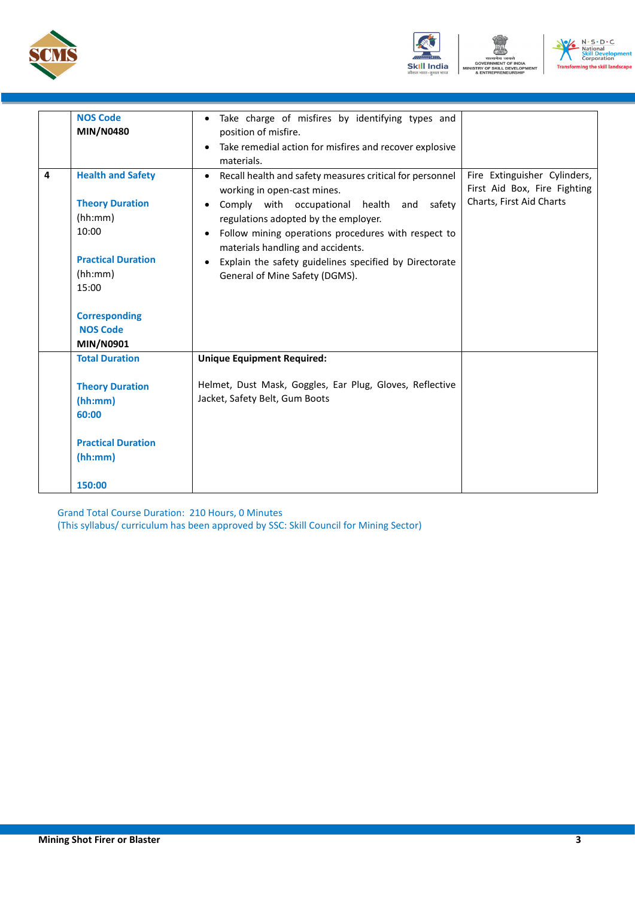





|   | <b>NOS Code</b>                                                                                                         | Take charge of misfires by identifying types and                                                                                                                                                                                                                                                                                                                                                             |                                                                                          |
|---|-------------------------------------------------------------------------------------------------------------------------|--------------------------------------------------------------------------------------------------------------------------------------------------------------------------------------------------------------------------------------------------------------------------------------------------------------------------------------------------------------------------------------------------------------|------------------------------------------------------------------------------------------|
|   | <b>MIN/N0480</b>                                                                                                        | position of misfire.                                                                                                                                                                                                                                                                                                                                                                                         |                                                                                          |
|   |                                                                                                                         | Take remedial action for misfires and recover explosive<br>$\bullet$                                                                                                                                                                                                                                                                                                                                         |                                                                                          |
|   |                                                                                                                         | materials.                                                                                                                                                                                                                                                                                                                                                                                                   |                                                                                          |
| 4 | <b>Health and Safety</b><br><b>Theory Duration</b><br>(hh:mm)<br>10:00<br><b>Practical Duration</b><br>(hh:mm)<br>15:00 | Recall health and safety measures critical for personnel<br>working in open-cast mines.<br>Comply with occupational health and safety<br>$\bullet$<br>regulations adopted by the employer.<br>Follow mining operations procedures with respect to<br>$\bullet$<br>materials handling and accidents.<br>Explain the safety guidelines specified by Directorate<br>$\bullet$<br>General of Mine Safety (DGMS). | Fire Extinguisher Cylinders,<br>First Aid Box, Fire Fighting<br>Charts, First Aid Charts |
|   | <b>Corresponding</b><br><b>NOS Code</b><br><b>MIN/N0901</b>                                                             |                                                                                                                                                                                                                                                                                                                                                                                                              |                                                                                          |
|   | <b>Total Duration</b>                                                                                                   | <b>Unique Equipment Required:</b>                                                                                                                                                                                                                                                                                                                                                                            |                                                                                          |
|   | <b>Theory Duration</b><br>(hh:mm)<br>60:00                                                                              | Helmet, Dust Mask, Goggles, Ear Plug, Gloves, Reflective<br>Jacket, Safety Belt, Gum Boots                                                                                                                                                                                                                                                                                                                   |                                                                                          |
|   | <b>Practical Duration</b><br>(hh:mm)                                                                                    |                                                                                                                                                                                                                                                                                                                                                                                                              |                                                                                          |
|   | 150:00                                                                                                                  |                                                                                                                                                                                                                                                                                                                                                                                                              |                                                                                          |

Grand Total Course Duration: 210 Hours, 0 Minutes (This syllabus/ curriculum has been approved by SSC: Skill Council for Mining Sector)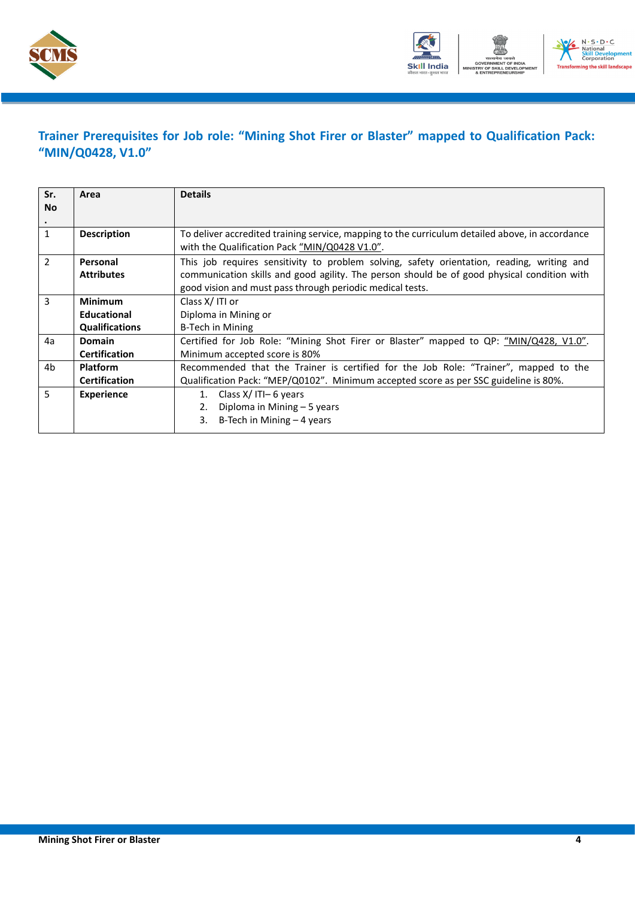



## <span id="page-6-0"></span>**Trainer Prerequisites for Job role: "Mining Shot Firer or Blaster" mapped to Qualification Pack: "MIN/Q0428, V1.0"**

| Sr.            | Area                  | <b>Details</b>                                                                                                                                   |  |  |  |
|----------------|-----------------------|--------------------------------------------------------------------------------------------------------------------------------------------------|--|--|--|
| <b>No</b>      |                       |                                                                                                                                                  |  |  |  |
|                |                       |                                                                                                                                                  |  |  |  |
| $\mathbf{1}$   | <b>Description</b>    | To deliver accredited training service, mapping to the curriculum detailed above, in accordance<br>with the Qualification Pack "MIN/Q0428 V1.0". |  |  |  |
| $\overline{2}$ | Personal              | This job requires sensitivity to problem solving, safety orientation, reading, writing and                                                       |  |  |  |
|                | <b>Attributes</b>     | communication skills and good agility. The person should be of good physical condition with                                                      |  |  |  |
|                |                       | good vision and must pass through periodic medical tests.                                                                                        |  |  |  |
| 3              | <b>Minimum</b>        | Class X/ITI or                                                                                                                                   |  |  |  |
|                | <b>Educational</b>    | Diploma in Mining or                                                                                                                             |  |  |  |
|                | <b>Qualifications</b> | B-Tech in Mining                                                                                                                                 |  |  |  |
| 4a             | <b>Domain</b>         | Certified for Job Role: "Mining Shot Firer or Blaster" mapped to QP: "MIN/Q428, V1.0".                                                           |  |  |  |
|                | <b>Certification</b>  | Minimum accepted score is 80%                                                                                                                    |  |  |  |
| 4 <sub>b</sub> | <b>Platform</b>       | Recommended that the Trainer is certified for the Job Role: "Trainer", mapped to the                                                             |  |  |  |
|                | <b>Certification</b>  | Qualification Pack: "MEP/Q0102". Minimum accepted score as per SSC guideline is 80%.                                                             |  |  |  |
| 5              | <b>Experience</b>     | Class $X/$ ITI- 6 years<br>1.                                                                                                                    |  |  |  |
|                |                       | Diploma in Mining - 5 years<br>2.                                                                                                                |  |  |  |
|                |                       | B-Tech in Mining $-4$ years<br>3.                                                                                                                |  |  |  |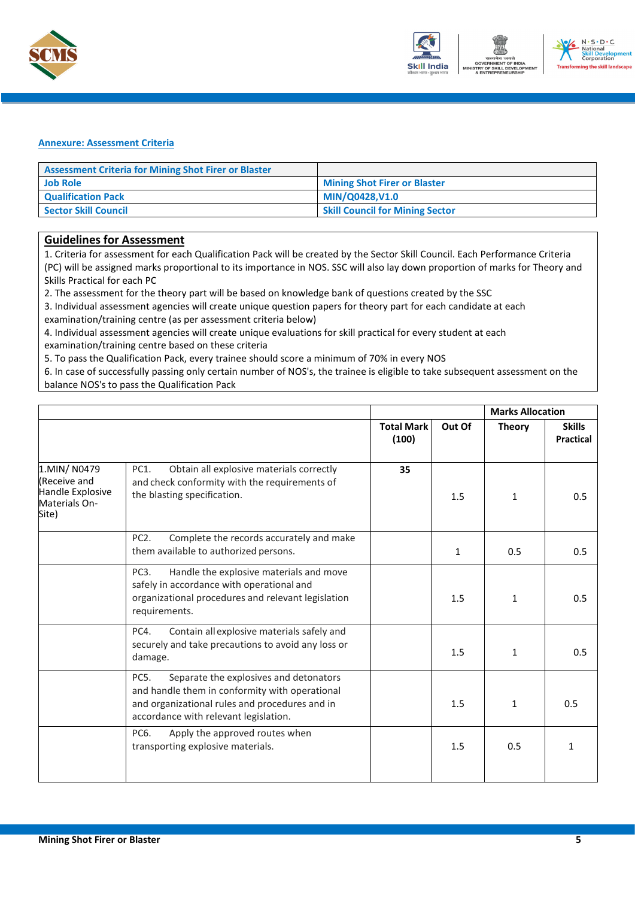



#### <span id="page-7-0"></span>**Annexure: Assessment Criteria**

| <b>Assessment Criteria for Mining Shot Firer or Blaster</b> |                                        |
|-------------------------------------------------------------|----------------------------------------|
| <b>Job Role</b>                                             | <b>Mining Shot Firer or Blaster</b>    |
| <b>Qualification Pack</b>                                   | MIN/Q0428,V1.0                         |
| <b>Sector Skill Council</b>                                 | <b>Skill Council for Mining Sector</b> |

### **Guidelines for Assessment**

1. Criteria for assessment for each Qualification Pack will be created by the Sector Skill Council. Each Performance Criteria (PC) will be assigned marks proportional to its importance in NOS. SSC will also lay down proportion of marks for Theory and Skills Practical for each PC

2. The assessment for the theory part will be based on knowledge bank of questions created by the SSC

3. Individual assessment agencies will create unique question papers for theory part for each candidate at each

examination/training centre (as per assessment criteria below)

4. Individual assessment agencies will create unique evaluations for skill practical for every student at each examination/training centre based on these criteria

5. To pass the Qualification Pack, every trainee should score a minimum of 70% in every NOS

6. In case of successfully passing only certain number of NOS's, the trainee is eligible to take subsequent assessment on the balance NOS's to pass the Qualification Pack

|                                                                          |                                                                                                                                                                                             |                            |              | <b>Marks Allocation</b> |                            |
|--------------------------------------------------------------------------|---------------------------------------------------------------------------------------------------------------------------------------------------------------------------------------------|----------------------------|--------------|-------------------------|----------------------------|
|                                                                          |                                                                                                                                                                                             | <b>Total Mark</b><br>(100) | Out Of       | <b>Theory</b>           | <b>Skills</b><br>Practical |
| 1.MIN/N0479<br>Receive and<br>Handle Explosive<br>Materials On-<br>Site) | PC1.<br>Obtain all explosive materials correctly<br>and check conformity with the requirements of<br>the blasting specification.                                                            | 35                         | 1.5          | $\mathbf{1}$            | 0.5                        |
|                                                                          | PC <sub>2</sub> .<br>Complete the records accurately and make<br>them available to authorized persons.                                                                                      |                            | $\mathbf{1}$ | 0.5                     | 0.5                        |
|                                                                          | Handle the explosive materials and move<br>PC <sub>3</sub> .<br>safely in accordance with operational and<br>organizational procedures and relevant legislation<br>requirements.            |                            | 1.5          | 1                       | 0.5                        |
|                                                                          | PC4.<br>Contain all explosive materials safely and<br>securely and take precautions to avoid any loss or<br>damage.                                                                         |                            | 1.5          | $\mathbf{1}$            | 0.5                        |
|                                                                          | Separate the explosives and detonators<br>PC5.<br>and handle them in conformity with operational<br>and organizational rules and procedures and in<br>accordance with relevant legislation. |                            | 1.5          | $\mathbf{1}$            | 0.5                        |
|                                                                          | PC6.<br>Apply the approved routes when<br>transporting explosive materials.                                                                                                                 |                            | 1.5          | 0.5                     | 1                          |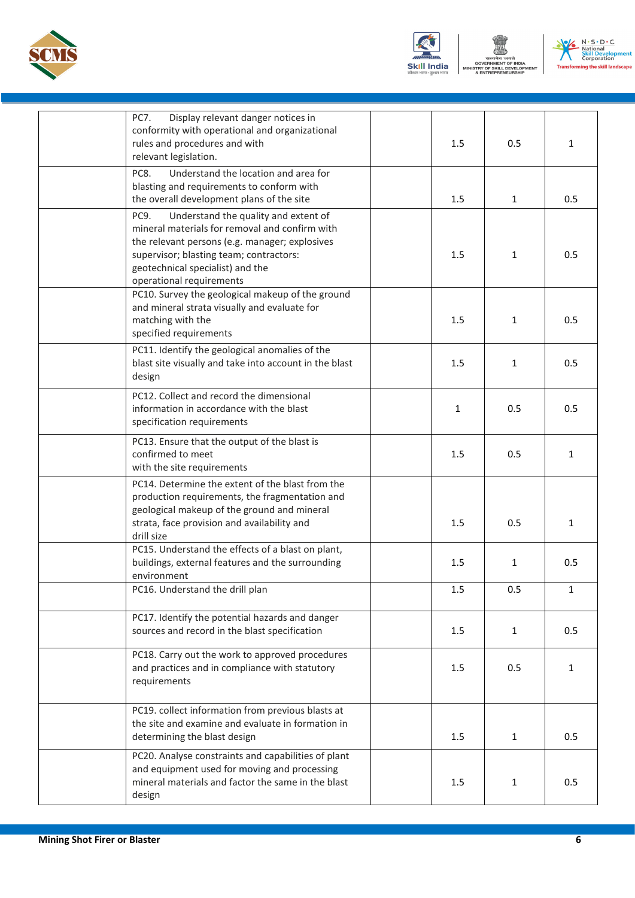





| Display relevant danger notices in<br>PC7.<br>conformity with operational and organizational<br>rules and procedures and with<br>relevant legislation.                                                                                                                   | 1.5 | 0.5          | $\mathbf{1}$ |
|--------------------------------------------------------------------------------------------------------------------------------------------------------------------------------------------------------------------------------------------------------------------------|-----|--------------|--------------|
| Understand the location and area for<br>PC8.<br>blasting and requirements to conform with<br>the overall development plans of the site                                                                                                                                   | 1.5 | $\mathbf{1}$ | 0.5          |
| PC <sub>9</sub> .<br>Understand the quality and extent of<br>mineral materials for removal and confirm with<br>the relevant persons (e.g. manager; explosives<br>supervisor; blasting team; contractors:<br>geotechnical specialist) and the<br>operational requirements | 1.5 | 1            | 0.5          |
| PC10. Survey the geological makeup of the ground<br>and mineral strata visually and evaluate for<br>matching with the<br>specified requirements                                                                                                                          | 1.5 | $\mathbf{1}$ | 0.5          |
| PC11. Identify the geological anomalies of the<br>blast site visually and take into account in the blast<br>design                                                                                                                                                       | 1.5 | 1            | 0.5          |
| PC12. Collect and record the dimensional<br>information in accordance with the blast<br>specification requirements                                                                                                                                                       | 1   | 0.5          | 0.5          |
| PC13. Ensure that the output of the blast is<br>confirmed to meet<br>with the site requirements                                                                                                                                                                          | 1.5 | 0.5          | $\mathbf{1}$ |
| PC14. Determine the extent of the blast from the<br>production requirements, the fragmentation and<br>geological makeup of the ground and mineral<br>strata, face provision and availability and<br>drill size                                                           | 1.5 | 0.5          | $\mathbf{1}$ |
| PC15. Understand the effects of a blast on plant,<br>buildings, external features and the surrounding<br>environment                                                                                                                                                     | 1.5 | 1            | 0.5          |
| PC16. Understand the drill plan                                                                                                                                                                                                                                          | 1.5 | 0.5          | $\mathbf{1}$ |
| PC17. Identify the potential hazards and danger<br>sources and record in the blast specification                                                                                                                                                                         | 1.5 | $\mathbf{1}$ | 0.5          |
| PC18. Carry out the work to approved procedures<br>and practices and in compliance with statutory<br>requirements                                                                                                                                                        | 1.5 | 0.5          | $\mathbf{1}$ |
| PC19. collect information from previous blasts at<br>the site and examine and evaluate in formation in<br>determining the blast design                                                                                                                                   | 1.5 | $\mathbf{1}$ | 0.5          |
| PC20. Analyse constraints and capabilities of plant<br>and equipment used for moving and processing<br>mineral materials and factor the same in the blast<br>design                                                                                                      | 1.5 | $\mathbf{1}$ | 0.5          |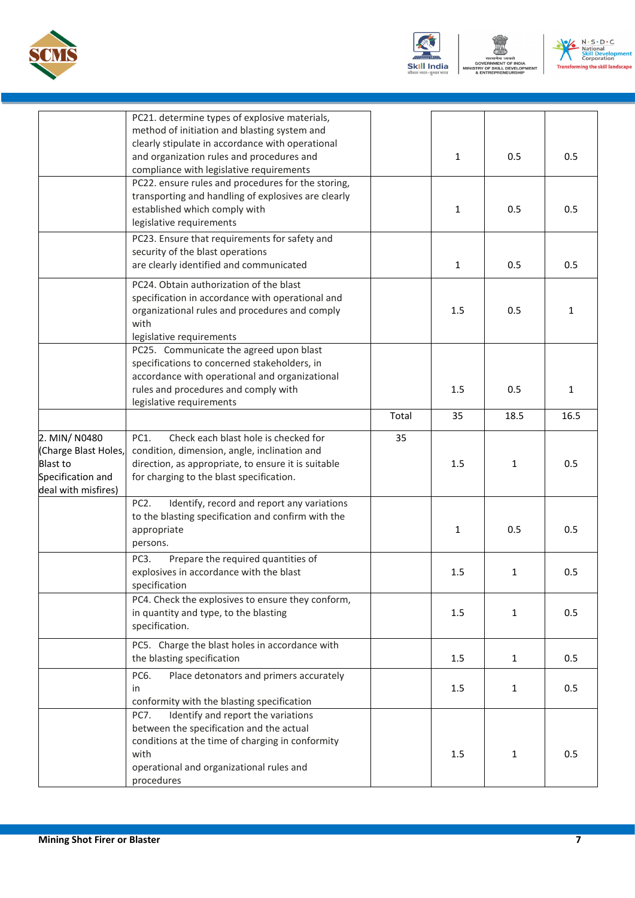





|                                                                                                      | PC21. determine types of explosive materials,<br>method of initiation and blasting system and<br>clearly stipulate in accordance with operational<br>and organization rules and procedures and<br>compliance with legislative requirements |       | $\mathbf{1}$ | 0.5          | 0.5          |
|------------------------------------------------------------------------------------------------------|--------------------------------------------------------------------------------------------------------------------------------------------------------------------------------------------------------------------------------------------|-------|--------------|--------------|--------------|
|                                                                                                      | PC22. ensure rules and procedures for the storing,<br>transporting and handling of explosives are clearly<br>established which comply with<br>legislative requirements                                                                     |       | 1            | 0.5          | 0.5          |
|                                                                                                      | PC23. Ensure that requirements for safety and<br>security of the blast operations<br>are clearly identified and communicated                                                                                                               |       | $\mathbf{1}$ | 0.5          | 0.5          |
|                                                                                                      | PC24. Obtain authorization of the blast<br>specification in accordance with operational and<br>organizational rules and procedures and comply<br>with<br>legislative requirements                                                          |       | 1.5          | 0.5          | 1            |
|                                                                                                      | PC25. Communicate the agreed upon blast<br>specifications to concerned stakeholders, in<br>accordance with operational and organizational<br>rules and procedures and comply with<br>legislative requirements                              |       | 1.5          | 0.5          | $\mathbf{1}$ |
|                                                                                                      |                                                                                                                                                                                                                                            | Total | 35           | 18.5         | 16.5         |
| 2. MIN/ N0480<br>(Charge Blast Holes,<br><b>Blast to</b><br>Specification and<br>deal with misfires) | PC1.<br>Check each blast hole is checked for<br>condition, dimension, angle, inclination and<br>direction, as appropriate, to ensure it is suitable<br>for charging to the blast specification.                                            | 35    | 1.5          | 1            | 0.5          |
|                                                                                                      | Identify, record and report any variations<br>PC <sub>2</sub> .<br>to the blasting specification and confirm with the<br>appropriate<br>persons.                                                                                           |       | 1            | 0.5          | 0.5          |
|                                                                                                      | Prepare the required quantities of<br>PC3.<br>explosives in accordance with the blast<br>specification                                                                                                                                     |       | 1.5          | 1            | 0.5          |
|                                                                                                      | PC4. Check the explosives to ensure they conform,<br>in quantity and type, to the blasting<br>specification.                                                                                                                               |       | 1.5          | 1            | 0.5          |
|                                                                                                      | PC5. Charge the blast holes in accordance with<br>the blasting specification                                                                                                                                                               |       | 1.5          | $\mathbf{1}$ | 0.5          |
|                                                                                                      | PC6.<br>Place detonators and primers accurately<br>in<br>conformity with the blasting specification                                                                                                                                        |       | 1.5          | 1            | 0.5          |
|                                                                                                      | PC7.<br>Identify and report the variations<br>between the specification and the actual<br>conditions at the time of charging in conformity<br>with<br>operational and organizational rules and<br>procedures                               |       | 1.5          | 1            | 0.5          |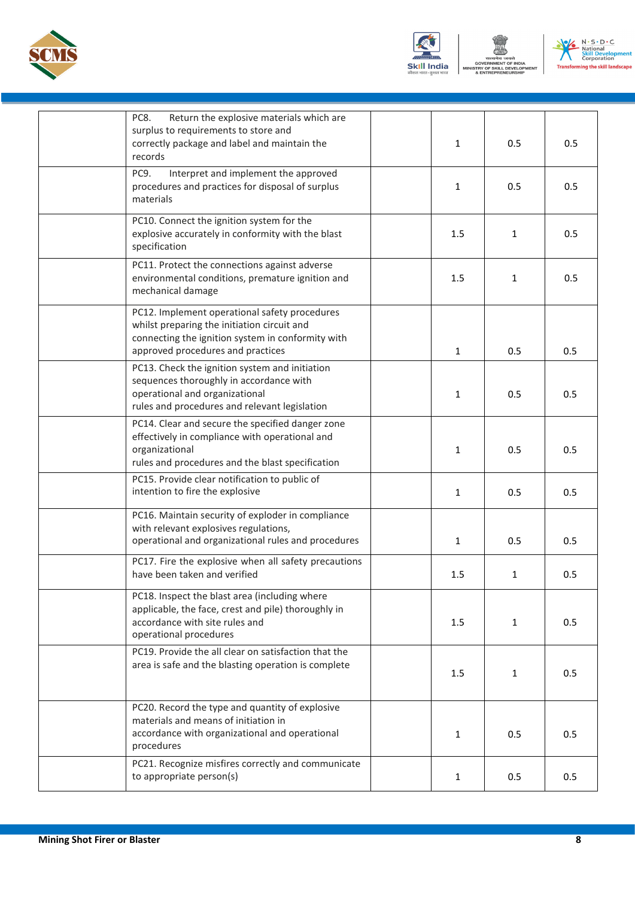





| Return the explosive materials which are<br>PC8.<br>surplus to requirements to store and<br>correctly package and label and maintain the<br>records                                    | 1            | 0.5          | 0.5 |
|----------------------------------------------------------------------------------------------------------------------------------------------------------------------------------------|--------------|--------------|-----|
| PC9.<br>Interpret and implement the approved<br>procedures and practices for disposal of surplus<br>materials                                                                          | $\mathbf{1}$ | 0.5          | 0.5 |
| PC10. Connect the ignition system for the<br>explosive accurately in conformity with the blast<br>specification                                                                        | 1.5          | 1            | 0.5 |
| PC11. Protect the connections against adverse<br>environmental conditions, premature ignition and<br>mechanical damage                                                                 | 1.5          | 1            | 0.5 |
| PC12. Implement operational safety procedures<br>whilst preparing the initiation circuit and<br>connecting the ignition system in conformity with<br>approved procedures and practices | 1            | 0.5          | 0.5 |
| PC13. Check the ignition system and initiation<br>sequences thoroughly in accordance with<br>operational and organizational<br>rules and procedures and relevant legislation           | $\mathbf{1}$ | 0.5          | 0.5 |
| PC14. Clear and secure the specified danger zone<br>effectively in compliance with operational and<br>organizational<br>rules and procedures and the blast specification               | 1            | 0.5          | 0.5 |
| PC15. Provide clear notification to public of<br>intention to fire the explosive                                                                                                       | 1            | 0.5          | 0.5 |
| PC16. Maintain security of exploder in compliance<br>with relevant explosives regulations,<br>operational and organizational rules and procedures                                      | $\mathbf{1}$ | 0.5          | 0.5 |
| PC17. Fire the explosive when all safety precautions<br>have been taken and verified                                                                                                   | 1.5          | $\mathbf{1}$ | 0.5 |
| PC18. Inspect the blast area (including where<br>applicable, the face, crest and pile) thoroughly in<br>accordance with site rules and<br>operational procedures                       | 1.5          | $\mathbf{1}$ | 0.5 |
| PC19. Provide the all clear on satisfaction that the<br>area is safe and the blasting operation is complete                                                                            | 1.5          | $\mathbf{1}$ | 0.5 |
| PC20. Record the type and quantity of explosive<br>materials and means of initiation in<br>accordance with organizational and operational<br>procedures                                | 1            | 0.5          | 0.5 |
| PC21. Recognize misfires correctly and communicate<br>to appropriate person(s)                                                                                                         | $\mathbf{1}$ | 0.5          | 0.5 |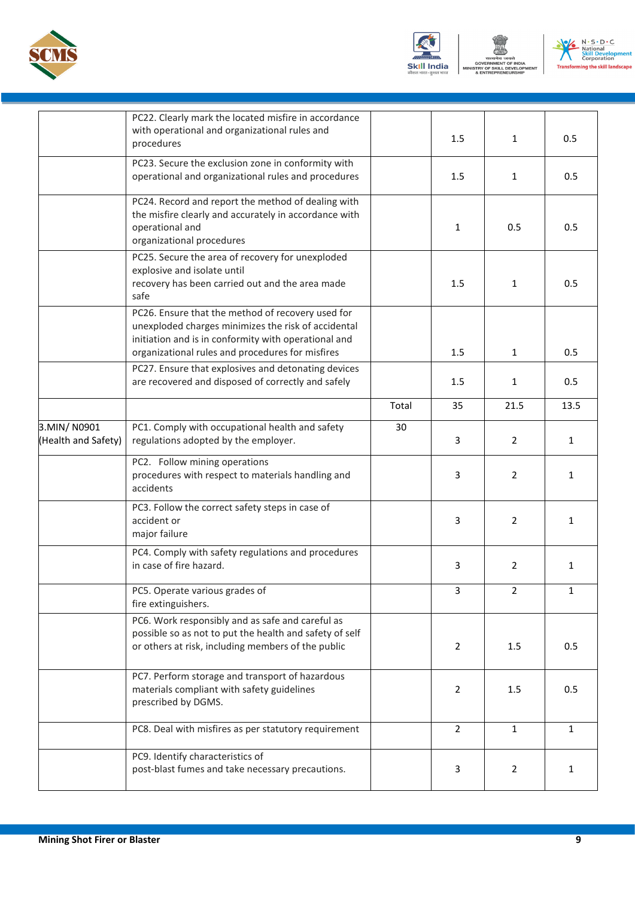





|                                    | PC22. Clearly mark the located misfire in accordance<br>with operational and organizational rules and<br>procedures                                                                                                  |       | 1.5            | $\mathbf{1}$   | 0.5          |
|------------------------------------|----------------------------------------------------------------------------------------------------------------------------------------------------------------------------------------------------------------------|-------|----------------|----------------|--------------|
|                                    | PC23. Secure the exclusion zone in conformity with<br>operational and organizational rules and procedures                                                                                                            |       | 1.5            | $\mathbf{1}$   | 0.5          |
|                                    | PC24. Record and report the method of dealing with<br>the misfire clearly and accurately in accordance with<br>operational and<br>organizational procedures                                                          |       | $\mathbf{1}$   | 0.5            | 0.5          |
|                                    | PC25. Secure the area of recovery for unexploded<br>explosive and isolate until<br>recovery has been carried out and the area made<br>safe                                                                           |       | 1.5            | $\mathbf{1}$   | 0.5          |
|                                    | PC26. Ensure that the method of recovery used for<br>unexploded charges minimizes the risk of accidental<br>initiation and is in conformity with operational and<br>organizational rules and procedures for misfires |       | 1.5            | $\mathbf{1}$   | 0.5          |
|                                    | PC27. Ensure that explosives and detonating devices<br>are recovered and disposed of correctly and safely                                                                                                            |       | 1.5            | 1              | 0.5          |
|                                    |                                                                                                                                                                                                                      | Total | 35             | 21.5           | 13.5         |
| 3.MIN/N0901<br>(Health and Safety) | PC1. Comply with occupational health and safety<br>regulations adopted by the employer.                                                                                                                              | 30    | 3              | $\overline{2}$ | $\mathbf{1}$ |
|                                    | PC2. Follow mining operations<br>procedures with respect to materials handling and<br>accidents                                                                                                                      |       | 3              | $\overline{2}$ | $\mathbf{1}$ |
|                                    | PC3. Follow the correct safety steps in case of<br>accident or<br>major failure                                                                                                                                      |       | 3              | $\overline{2}$ | 1            |
|                                    | PC4. Comply with safety regulations and procedures<br>in case of fire hazard.                                                                                                                                        |       | 3              | 2              | 1            |
|                                    | PC5. Operate various grades of<br>fire extinguishers.                                                                                                                                                                |       | 3              | $\overline{2}$ | 1            |
|                                    | PC6. Work responsibly and as safe and careful as<br>possible so as not to put the health and safety of self<br>or others at risk, including members of the public                                                    |       | 2              | 1.5            | 0.5          |
|                                    | PC7. Perform storage and transport of hazardous<br>materials compliant with safety guidelines<br>prescribed by DGMS.                                                                                                 |       | $\overline{2}$ | 1.5            | 0.5          |
|                                    | PC8. Deal with misfires as per statutory requirement                                                                                                                                                                 |       | $\overline{2}$ | $\mathbf{1}$   | $\mathbf{1}$ |
|                                    | PC9. Identify characteristics of<br>post-blast fumes and take necessary precautions.                                                                                                                                 |       | 3              | $\overline{2}$ | $\mathbf{1}$ |
|                                    |                                                                                                                                                                                                                      |       |                |                |              |